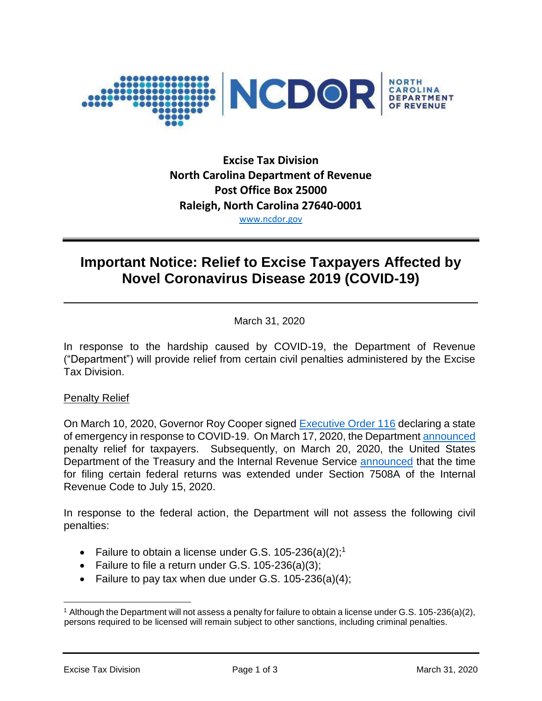

# **Excise Tax Division North Carolina Department of Revenue Post Office Box 25000 Raleigh, North Carolina 27640-0001** [www.ncdor.gov](http://www.ncdor.gov/)

# **Important Notice: Relief to Excise Taxpayers Affected by Novel Coronavirus Disease 2019 (COVID-19)**

March 31, 2020

In response to the hardship caused by COVID-19, the Department of Revenue ("Department") will provide relief from certain civil penalties administered by the Excise Tax Division.

## Penalty Relief

On March 10, 2020, Governor Roy Cooper signed [Executive Order 116](https://files.nc.gov/governor/documents/files/EO116-SOE-COVID-19.pdf) declaring a state of emergency in response to COVID-19. On March 17, 2020, the Department [announced](https://www.ncdor.gov/news/press-releases/2020/03/17/ncdor-offers-penalty-waivers-taxpayers-related-state-emergency) penalty relief for taxpayers. Subsequently, on March 20, 2020, the United States Department of the Treasury and the Internal Revenue Service [announced](https://www.irs.gov/pub/irs-drop/n-20-18.pdf) that the time for filing certain federal returns was extended under Section 7508A of the Internal Revenue Code to July 15, 2020.

In response to the federal action, the Department will not assess the following civil penalties:

- Failure to obtain a license under G.S.  $105-236(a)(2)$ ;<sup>1</sup>
- Failure to file a return under G.S. 105-236(a)(3);
- Failure to pay tax when due under G.S.  $105-236(a)(4)$ ;

<sup>1</sup> Although the Department will not assess a penalty for failure to obtain a license under G.S. 105-236(a)(2), persons required to be licensed will remain subject to other sanctions, including criminal penalties.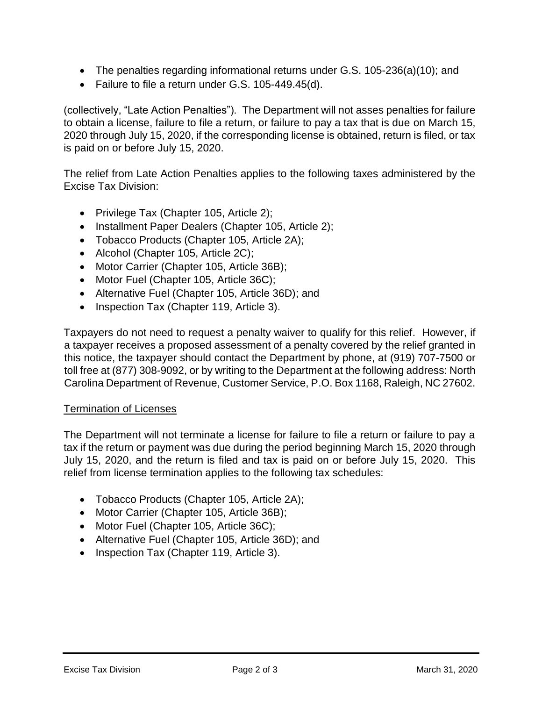- The penalties regarding informational returns under G.S. 105-236(a)(10); and
- Failure to file a return under G.S. 105-449.45(d).

(collectively, "Late Action Penalties"). The Department will not asses penalties for failure to obtain a license, failure to file a return, or failure to pay a tax that is due on March 15, 2020 through July 15, 2020, if the corresponding license is obtained, return is filed, or tax is paid on or before July 15, 2020.

The relief from Late Action Penalties applies to the following taxes administered by the Excise Tax Division:

- Privilege Tax (Chapter 105, Article 2);
- Installment Paper Dealers (Chapter 105, Article 2);
- Tobacco Products (Chapter 105, Article 2A);
- Alcohol (Chapter 105, Article 2C);
- Motor Carrier (Chapter 105, Article 36B);
- Motor Fuel (Chapter 105, Article 36C);
- Alternative Fuel (Chapter 105, Article 36D); and
- Inspection Tax (Chapter 119, Article 3).

Taxpayers do not need to request a penalty waiver to qualify for this relief. However, if a taxpayer receives a proposed assessment of a penalty covered by the relief granted in this notice, the taxpayer should contact the Department by phone, at (919) 707-7500 or toll free at (877) 308-9092, or by writing to the Department at the following address: North Carolina Department of Revenue, Customer Service, P.O. Box 1168, Raleigh, NC 27602.

#### Termination of Licenses

The Department will not terminate a license for failure to file a return or failure to pay a tax if the return or payment was due during the period beginning March 15, 2020 through July 15, 2020, and the return is filed and tax is paid on or before July 15, 2020. This relief from license termination applies to the following tax schedules:

- Tobacco Products (Chapter 105, Article 2A);
- Motor Carrier (Chapter 105, Article 36B);
- Motor Fuel (Chapter 105, Article 36C);
- Alternative Fuel (Chapter 105, Article 36D); and
- Inspection Tax (Chapter 119, Article 3).